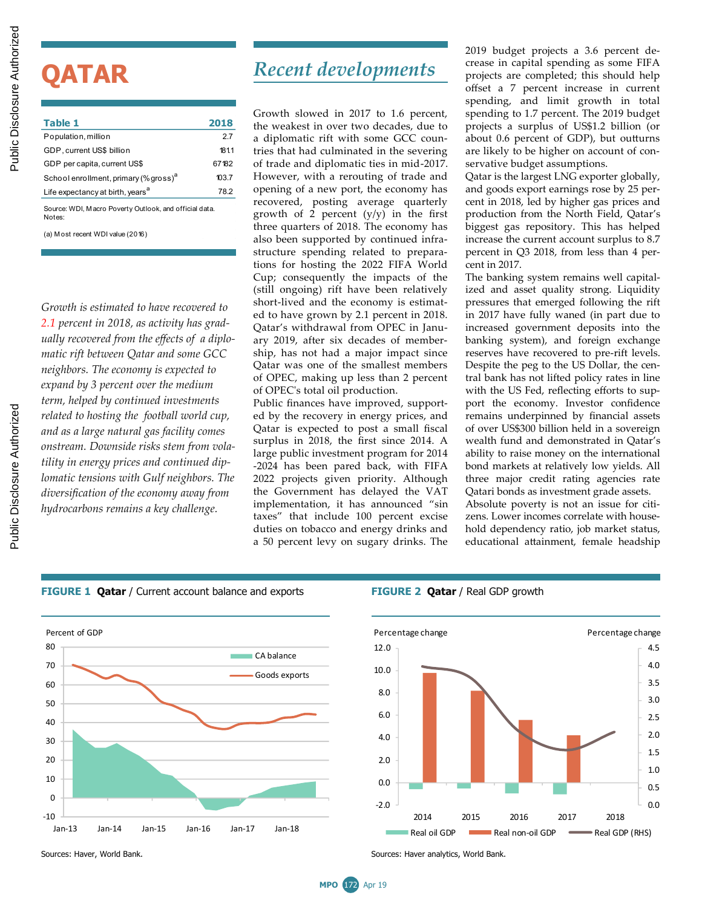# **QATAR**

| Table 1                                                | 2018  |  |  |  |
|--------------------------------------------------------|-------|--|--|--|
| Population, million                                    | 27    |  |  |  |
| GDP, current US\$ billion                              | 1811  |  |  |  |
| GDP per capita, current US\$                           | 67182 |  |  |  |
| School enrollment, primary (% gross) <sup>a</sup>      | 103.7 |  |  |  |
| Life expectancy at birth, years <sup>a</sup>           | 78.2  |  |  |  |
| Source: WDI. Macro Poverty Outlook. and official data. |       |  |  |  |

Notes:

(a) M ost recent WDI value (2016)

*Growth is estimated to have recovered to 2.1 percent in 2018, as activity has gradually recovered from the effects of a diplomatic rift between Qatar and some GCC neighbors. The economy is expected to expand by 3 percent over the medium term, helped by continued investments related to hosting the football world cup, and as a large natural gas facility comes onstream. Downside risks stem from volatility in energy prices and continued diplomatic tensions with Gulf neighbors. The diversification of the economy away from hydrocarbons remains a key challenge.*

## *Recent developments*

Growth slowed in 2017 to 1.6 percent, the weakest in over two decades, due to a diplomatic rift with some GCC countries that had culminated in the severing of trade and diplomatic ties in mid-2017. However, with a rerouting of trade and opening of a new port, the economy has recovered, posting average quarterly growth of 2 percent  $(y/y)$  in the first three quarters of 2018. The economy has also been supported by continued infrastructure spending related to preparations for hosting the 2022 FIFA World Cup; consequently the impacts of the (still ongoing) rift have been relatively short-lived and the economy is estimated to have grown by 2.1 percent in 2018. Qatar's withdrawal from OPEC in January 2019, after six decades of membership, has not had a major impact since Qatar was one of the smallest members of OPEC, making up less than 2 percent of OPEC's total oil production. **EXERCISE CONTRACT SECTION AND CONTRACT SECTION AND ARREST SECTION AND ARREST SECTION AND ARREST SECTION AND ARREST SECTION AND ARREST SECTION AND ARREST SECTION AND ARREST SECTION AND ARREST SECTION AND ARREST SECTION AN** 

Public finances have improved, supported by the recovery in energy prices, and Qatar is expected to post a small fiscal surplus in 2018, the first since 2014. A large public investment program for 2014 -2024 has been pared back, with FIFA 2022 projects given priority. Although the Government has delayed the VAT implementation, it has announced "sin taxes" that include 100 percent excise duties on tobacco and energy drinks and a 50 percent levy on sugary drinks. The 2019 budget projects a 3.6 percent decrease in capital spending as some FIFA projects are completed; this should help offset a 7 percent increase in current spending, and limit growth in total spending to 1.7 percent. The 2019 budget projects a surplus of US\$1.2 billion (or about 0.6 percent of GDP), but outturns are likely to be higher on account of conservative budget assumptions.

Qatar is the largest LNG exporter globally, and goods export earnings rose by 25 percent in 2018, led by higher gas prices and production from the North Field, Qatar's biggest gas repository. This has helped increase the current account surplus to 8.7 percent in Q3 2018, from less than 4 percent in 2017.

The banking system remains well capitalized and asset quality strong. Liquidity pressures that emerged following the rift in 2017 have fully waned (in part due to increased government deposits into the banking system), and foreign exchange reserves have recovered to pre-rift levels. Despite the peg to the US Dollar, the central bank has not lifted policy rates in line with the US Fed, reflecting efforts to support the economy. Investor confidence remains underpinned by financial assets of over US\$300 billion held in a sovereign wealth fund and demonstrated in Qatar's ability to raise money on the international bond markets at relatively low yields. All three major credit rating agencies rate Qatari bonds as investment grade assets.

Absolute poverty is not an issue for citizens. Lower incomes correlate with household dependency ratio, job market status, educational attainment, female headship

**FIGURE 1 Qatar** / Current account balance and exports **FIGURE 2 Qatar** / Real GDP growth





Sources: Haver, World Bank. Sources: Haver analytics, World Bank.